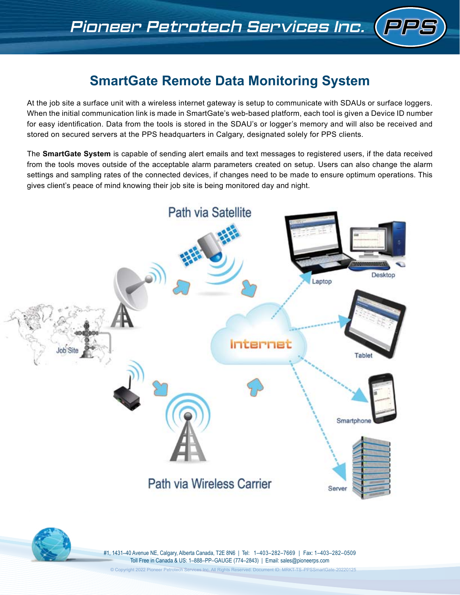# **SmartGate Remote Data Monitoring System**

At the job site a surface unit with a wireless internet gateway is setup to communicate with SDAUs or surface loggers. When the initial communication link is made in SmartGate's web-based platform, each tool is given a Device ID number for easy identification. Data from the tools is stored in the SDAU's or logger's memory and will also be received and stored on secured servers at the PPS headquarters in Calgary, designated solely for PPS clients.

The **SmartGate System** is capable of sending alert emails and text messages to registered users, if the data received from the tools moves outside of the acceptable alarm parameters created on setup. Users can also change the alarm settings and sampling rates of the connected devices, if changes need to be made to ensure optimum operations. This gives client's peace of mind knowing their job site is being monitored day and night.





#1, 1431–40 Avenue NE, Calgary, Alberta Canada, T2E 8N6 | Tel: 1–403–282–7669 | Fax: 1–403–282–0509 Toll Free in Canada & US: 1–888–PP–GAUGE (774–2843) | Email: sales@pioneerps.com